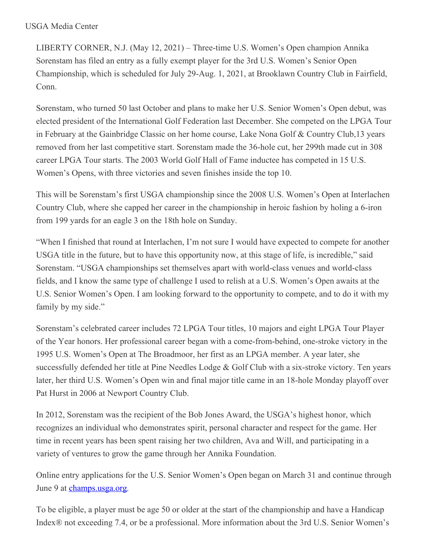LIBERTY CORNER, N.J. (May 12, 2021) – Three-time U.S. Women's Open champion Annika Sorenstam has filed an entry as a fully exempt player for the 3rd U.S. Women's Senior Open Championship, which is scheduled for July 29-Aug. 1, 2021, at Brooklawn Country Club in Fairfield, Conn.

Sorenstam, who turned 50 last October and plans to make her U.S. Senior Women's Open debut, was elected president of the International Golf Federation last December. She competed on the LPGA Tour in February at the Gainbridge Classic on her home course, Lake Nona Golf & Country Club,13 years removed from her last competitive start. Sorenstam made the 36-hole cut, her 299th made cut in 308 career LPGA Tour starts. The 2003 World Golf Hall of Fame inductee has competed in 15 U.S. Women's Opens, with three victories and seven finishes inside the top 10.

This will be Sorenstam's first USGA championship since the 2008 U.S. Women's Open at Interlachen Country Club, where she capped her career in the championship in heroic fashion by holing a 6-iron from 199 yards for an eagle 3 on the 18th hole on Sunday.

"When I finished that round at Interlachen, I'm not sure I would have expected to compete for another USGA title in the future, but to have this opportunity now, at this stage of life, is incredible," said Sorenstam. "USGA championships set themselves apart with world-class venues and world-class fields, and I know the same type of challenge I used to relish at a U.S. Women's Open awaits at the U.S. Senior Women's Open. I am looking forward to the opportunity to compete, and to do it with my family by my side."

Sorenstam's celebrated career includes 72 LPGA Tour titles, 10 majors and eight LPGA Tour Player of the Year honors. Her professional career began with a come-from-behind, one-stroke victory in the 1995 U.S. Women's Open at The Broadmoor, her first as an LPGA member. A year later, she successfully defended her title at Pine Needles Lodge & Golf Club with a six-stroke victory. Ten years later, her third U.S. Women's Open win and final major title came in an 18-hole Monday playoff over Pat Hurst in 2006 at Newport Country Club.

In 2012, Sorenstam was the recipient of the Bob Jones Award, the USGA's highest honor, which recognizes an individual who demonstrates spirit, personal character and respect for the game. Her time in recent years has been spent raising her two children, Ava and Will, and participating in a variety of ventures to grow the game through her Annika Foundation.

Online entry applications for the U.S. Senior Women's Open began on March 31 and continue through June 9 at [champs.usga.org](https://nam12.safelinks.protection.outlook.com/?url=https%3A%2F%2Fchamp-admin.usga.org%2Fplayer%23%2Fapply&data=04%7C01%7CJGeske%40USGA.org%7Cc2b0f8d727a74680741b08d9155262aa%7C17abf7083a064391bdbd06808d1b9f81%7C0%7C0%7C637564265877831607%7CUnknown%7CTWFpbGZsb3d8eyJWIjoiMC4wLjAwMDAiLCJQIjoiV2luMzIiLCJBTiI6Ik1haWwiLCJXVCI6Mn0%3D%7C1000&sdata=zTPHbnWPPUf%2F8lcr4InyxBR%2FPRuATLW4iuUM5Q8R8fg%3D&reserved=0).

To be eligible, a player must be age 50 or older at the start of the championship and have a Handicap Index® not exceeding 7.4, or be a professional. More information about the 3rd U.S. Senior Women's